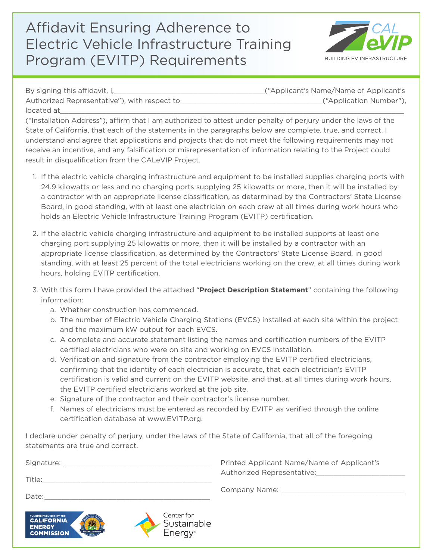## Affidavit Ensuring Adherence to Electric Vehicle Infrastructure Training Program (EVITP) Requirements



By signing this affidavit, I, This are not contained the set of Applicant's Name/Name of Applicant's Name of Applicant's Name of Applicant's Name of Applicant's Name of Applicant's Name of Applicant's Name of Applicant's N Authorized Representative"), with respect to\_\_\_\_\_\_\_\_\_\_\_\_\_\_\_\_\_\_\_\_\_\_\_\_\_\_\_\_\_\_\_\_\_\_("Application Number"), located at $\_$ 

("Installation Address"), affirm that I am authorized to attest under penalty of perjury under the laws of the State of California, that each of the statements in the paragraphs below are complete, true, and correct. I understand and agree that applications and projects that do not meet the following requirements may not receive an incentive, and any falsification or misrepresentation of information relating to the Project could result in disqualification from the CALeVIP Project.

- 1. If the electric vehicle charging infrastructure and equipment to be installed supplies charging ports with 24.9 kilowatts or less and no charging ports supplying 25 kilowatts or more, then it will be installed by a contractor with an appropriate license classification, as determined by the Contractors' State License Board, in good standing, with at least one electrician on each crew at all times during work hours who holds an Electric Vehicle Infrastructure Training Program (EVITP) certification.
- 2. If the electric vehicle charging infrastructure and equipment to be installed supports at least one charging port supplying 25 kilowatts or more, then it will be installed by a contractor with an appropriate license classification, as determined by the Contractors' State License Board, in good standing, with at least 25 percent of the total electricians working on the crew, at all times during work hours, holding EVITP certification.
- 3. With this form I have provided the attached "**Project Description Statement**" containing the following information:
	- a. Whether construction has commenced.

**ALIEODNIA** 

**ENERGY COMMISSION** 

- b. The number of Electric Vehicle Charging Stations (EVCS) installed at each site within the project and the maximum kW output for each EVCS.
- c. A complete and accurate statement listing the names and certification numbers of the EVITP certified electricians who were on site and working on EVCS installation.
- d. Verification and signature from the contractor employing the EVITP certified electricians, confirming that the identity of each electrician is accurate, that each electrician's EVITP certification is valid and current on the EVITP website, and that, at all times during work hours, the EVITP certified electricians worked at the job site.
- e. Signature of the contractor and their contractor's license number.
- f. Names of electricians must be entered as recorded by EVITP, as verified through the online certification database at www.EVITP.org.

I declare under penalty of perjury, under the laws of the State of California, that all of the foregoing statements are true and correct.

| Signature: | Printed Applicant Name/Name of Applicant's<br>Authorized Representative: |
|------------|--------------------------------------------------------------------------|
| Title:     | Company Name:                                                            |
| Date:      |                                                                          |

Center for

Energy®

Sustainable